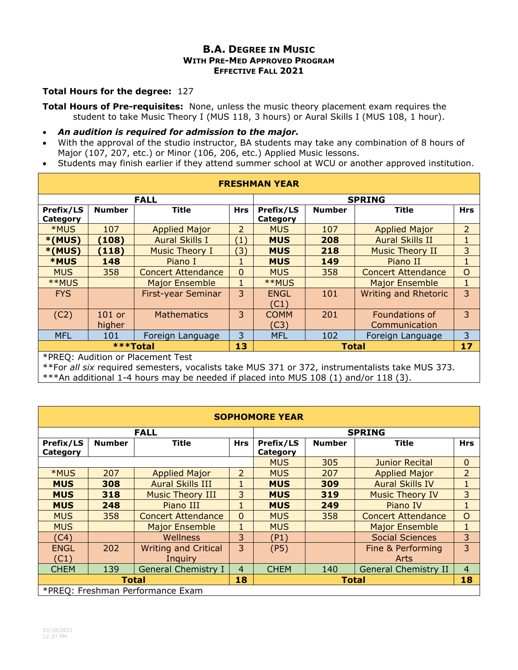## **B.A. DEGREE IN MUSIC WITH PRE-MED APPROVED PROGRAM EFFECTIVE FALL 2021**

## **Total Hours for the degree:** 127

**Total Hours of Pre-requisites:** None, unless the music theory placement exam requires the student to take Music Theory I (MUS 118, 3 hours) or Aural Skills I (MUS 108, 1 hour).

- *An audition is required for admission to the major.*
- With the approval of the studio instructor, BA students may take any combination of 8 hours of Major (107, 207, etc.) or Minor (106, 206, etc.) Applied Music lessons.
- Students may finish earlier if they attend summer school at WCU or another approved institution.

| <b>FRESHMAN YEAR</b>              |                    |                           |                   |                       |               |                                 |                |  |  |
|-----------------------------------|--------------------|---------------------------|-------------------|-----------------------|---------------|---------------------------------|----------------|--|--|
| <b>FALL</b>                       |                    |                           |                   | <b>SPRING</b>         |               |                                 |                |  |  |
| Prefix/LS<br>Category             | <b>Number</b>      | <b>Title</b>              | <b>Hrs</b>        | Prefix/LS<br>Category | <b>Number</b> | <b>Title</b>                    | <b>Hrs</b>     |  |  |
| *MUS                              | 107                | <b>Applied Major</b>      | $\overline{2}$    | <b>MUS</b>            | 107           | <b>Applied Major</b>            | $\overline{2}$ |  |  |
| $*(MUS)$                          | (108)              | <b>Aural Skills I</b>     | $\left( 1\right)$ | <b>MUS</b>            | 208           | <b>Aural Skills II</b>          |                |  |  |
| $*(MUS)$                          | (118)              | <b>Music Theory I</b>     | $\mathbf{E}$      | <b>MUS</b>            | 218           | <b>Music Theory II</b>          | 3              |  |  |
| <b>*MUS</b>                       | 148                | Piano I                   | 1                 | <b>MUS</b>            | 149           | Piano II                        | 1              |  |  |
| <b>MUS</b>                        | 358                | <b>Concert Attendance</b> | $\Omega$          | <b>MUS</b>            | 358           | <b>Concert Attendance</b>       | $\circ$        |  |  |
| **MUS                             |                    | <b>Major Ensemble</b>     | $\mathbf{1}$      | **MUS                 |               | <b>Major Ensemble</b>           | 1              |  |  |
| <b>FYS</b>                        |                    | First-year Seminar        | 3                 | <b>ENGL</b><br>(C1)   | 101           | <b>Writing and Rhetoric</b>     | 3              |  |  |
| (C2)                              | $101$ or<br>higher | <b>Mathematics</b>        | 3                 | <b>COMM</b><br>(C3)   | 201           | Foundations of<br>Communication | 3              |  |  |
| <b>MFL</b>                        | 101                | Foreign Language          | 3                 | <b>MFL</b>            | 102           | Foreign Language                | 3              |  |  |
| ***Total                          |                    |                           | 13                |                       | <b>Total</b>  |                                 | 17             |  |  |
| *PREQ: Audition or Placement Test |                    |                           |                   |                       |               |                                 |                |  |  |

\*\*For *all six* required semesters, vocalists take MUS 371 or 372, instrumentalists take MUS 373.

\*\*\*An additional 1-4 hours may be needed if placed into MUS 108 (1) and/or 118 (3).

| <b>SOPHOMORE YEAR</b>            |               |                             |                |               |               |                             |                |  |
|----------------------------------|---------------|-----------------------------|----------------|---------------|---------------|-----------------------------|----------------|--|
| <b>FALL</b>                      |               |                             |                | <b>SPRING</b> |               |                             |                |  |
| Prefix/LS                        | <b>Number</b> | <b>Title</b>                | <b>Hrs</b>     | Prefix/LS     | <b>Number</b> | Title                       | <b>Hrs</b>     |  |
| Category                         |               |                             |                | Category      |               |                             |                |  |
|                                  |               |                             |                | <b>MUS</b>    | 305           | <b>Junior Recital</b>       | $\mathbf 0$    |  |
| *MUS                             | 207           | <b>Applied Major</b>        | 2              | <b>MUS</b>    | 207           | <b>Applied Major</b>        | $\overline{2}$ |  |
| <b>MUS</b>                       | 308           | <b>Aural Skills III</b>     | 1              | <b>MUS</b>    | 309           | <b>Aural Skills IV</b>      | 1              |  |
| <b>MUS</b>                       | 318           | <b>Music Theory III</b>     | 3              | <b>MUS</b>    | 319           | <b>Music Theory IV</b>      | 3              |  |
| <b>MUS</b>                       | 248           | Piano III                   | $\mathbf{1}$   | <b>MUS</b>    | 249           | Piano IV                    | $\mathbf{1}$   |  |
| <b>MUS</b>                       | 358           | <b>Concert Attendance</b>   | $\Omega$       | <b>MUS</b>    | 358           | <b>Concert Attendance</b>   | $\overline{O}$ |  |
| <b>MUS</b>                       |               | <b>Major Ensemble</b>       | 1              | <b>MUS</b>    |               | <b>Major Ensemble</b>       | $\mathbf 1$    |  |
| (C4)                             |               | Wellness                    | 3              | (P1)          |               | <b>Social Sciences</b>      | 3              |  |
| <b>ENGL</b>                      | 202           | <b>Writing and Critical</b> | 3              | (P5)          |               | Fine & Performing           | 3              |  |
| (C1)                             |               | Inquiry                     |                |               |               | Arts                        |                |  |
| <b>CHEM</b>                      | 139           | <b>General Chemistry I</b>  | $\overline{4}$ | <b>CHEM</b>   | 140           | <b>General Chemistry II</b> | $\overline{4}$ |  |
| <b>Total</b>                     |               |                             | 18             |               | Total         |                             | 18             |  |
| *PREQ: Freshman Performance Exam |               |                             |                |               |               |                             |                |  |